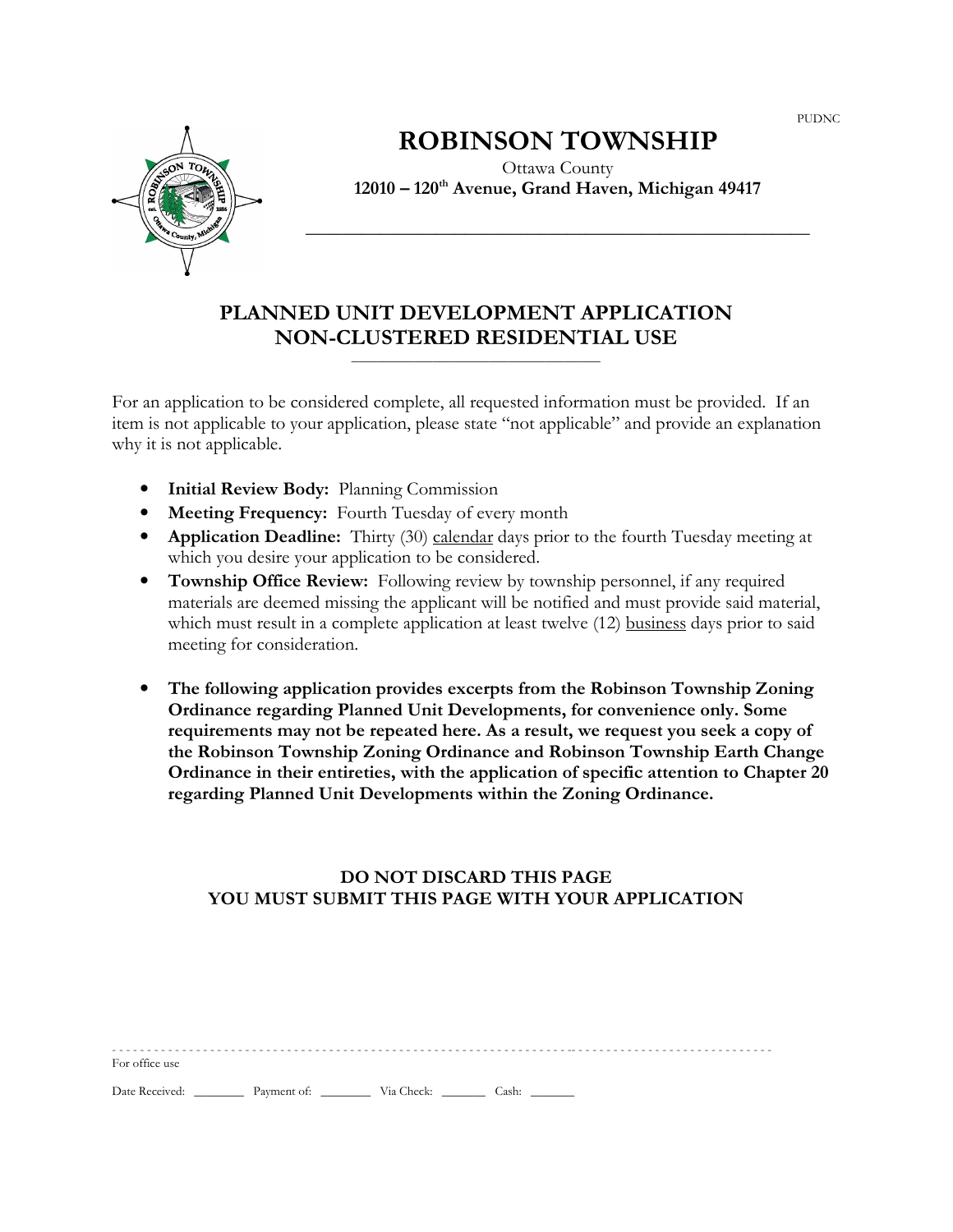PUDNC



# ROBINSON TOWNSHIP

Ottawa County 12010 – 120th Avenue, Grand Haven, Michigan 49417

\_\_\_\_\_\_\_\_\_\_\_\_\_\_\_\_\_\_\_\_\_\_\_\_\_\_\_\_\_\_\_\_\_\_\_\_\_\_\_\_\_\_\_\_\_\_\_\_\_\_\_\_\_\_

# PLANNED UNIT DEVELOPMENT APPLICATION NON-CLUSTERED RESIDENTIAL USE

 $\overline{\phantom{a}}$  , and the set of the set of the set of the set of the set of the set of the set of the set of the set of the set of the set of the set of the set of the set of the set of the set of the set of the set of the s

For an application to be considered complete, all requested information must be provided. If an item is not applicable to your application, please state "not applicable" and provide an explanation why it is not applicable.

- **Initial Review Body:** Planning Commission
- Meeting Frequency: Fourth Tuesday of every month
- Application Deadline: Thirty (30) calendar days prior to the fourth Tuesday meeting at which you desire your application to be considered.
- Township Office Review: Following review by township personnel, if any required materials are deemed missing the applicant will be notified and must provide said material, which must result in a complete application at least twelve (12) business days prior to said meeting for consideration.
- The following application provides excerpts from the Robinson Township Zoning Ordinance regarding Planned Unit Developments, for convenience only. Some requirements may not be repeated here. As a result, we request you seek a copy of the Robinson Township Zoning Ordinance and Robinson Township Earth Change Ordinance in their entireties, with the application of specific attention to Chapter 20 regarding Planned Unit Developments within the Zoning Ordinance.

# DO NOT DISCARD THIS PAGE YOU MUST SUBMIT THIS PAGE WITH YOUR APPLICATION

| For office use                              |  |  |  |
|---------------------------------------------|--|--|--|
| Date Received: Payment of: Via Check: Cash: |  |  |  |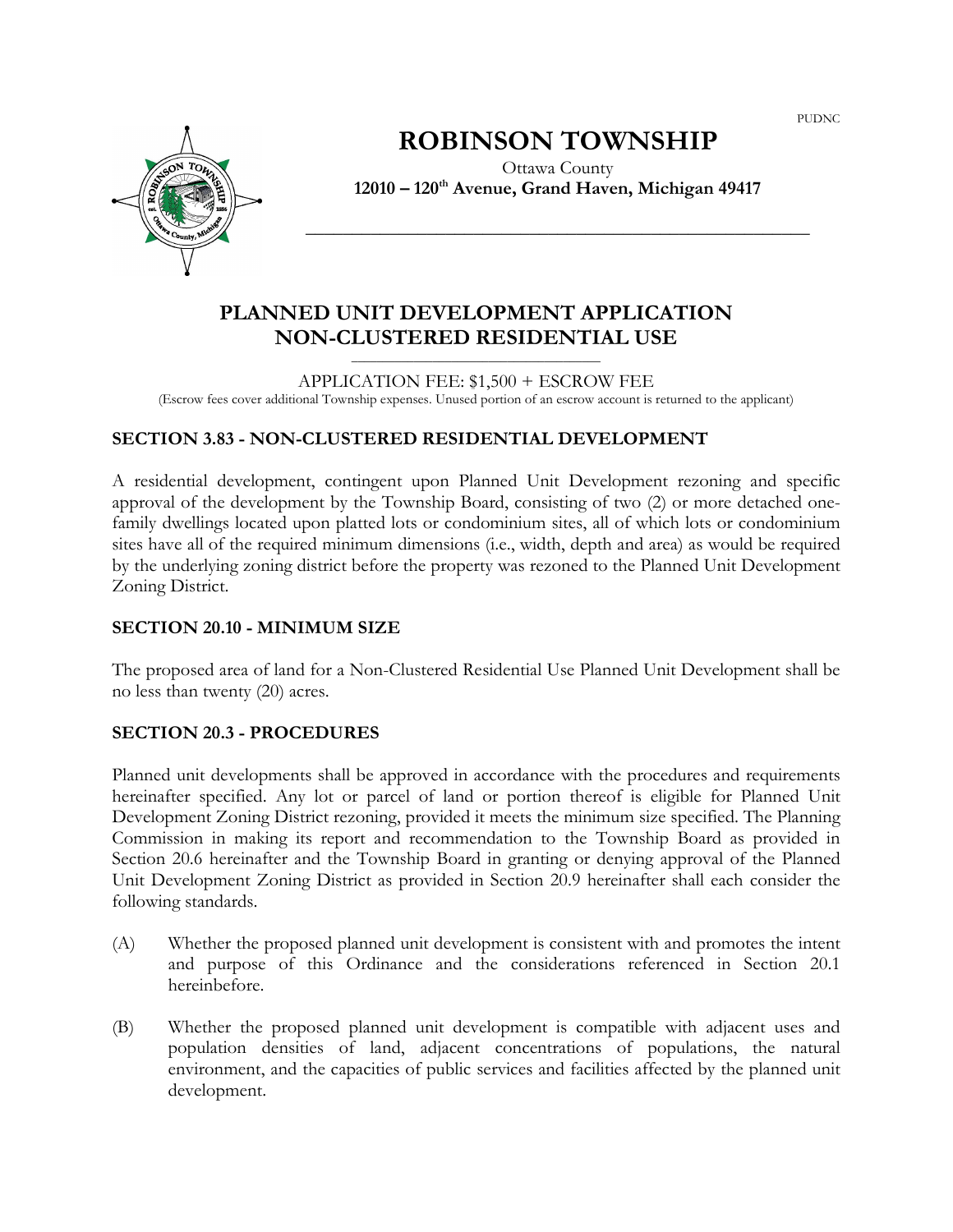PUDNC



# ROBINSON TOWNSHIP

Ottawa County  $12010 - 120$ <sup>th</sup> Avenue, Grand Haven, Michigan 49417

\_\_\_\_\_\_\_\_\_\_\_\_\_\_\_\_\_\_\_\_\_\_\_\_\_\_\_\_\_\_\_\_\_\_\_\_\_\_\_\_\_\_\_\_\_\_\_\_\_\_\_\_\_\_

# PLANNED UNIT DEVELOPMENT APPLICATION NON-CLUSTERED RESIDENTIAL USE

APPLICATION FEE: \$1,500 + ESCROW FEE (Escrow fees cover additional Township expenses. Unused portion of an escrow account is returned to the applicant)

 $\overline{\phantom{a}}$  , and the set of the set of the set of the set of the set of the set of the set of the set of the set of the set of the set of the set of the set of the set of the set of the set of the set of the set of the s

## SECTION 3.83 - NON-CLUSTERED RESIDENTIAL DEVELOPMENT

A residential development, contingent upon Planned Unit Development rezoning and specific approval of the development by the Township Board, consisting of two (2) or more detached onefamily dwellings located upon platted lots or condominium sites, all of which lots or condominium sites have all of the required minimum dimensions (i.e., width, depth and area) as would be required by the underlying zoning district before the property was rezoned to the Planned Unit Development Zoning District.

#### SECTION 20.10 - MINIMUM SIZE

The proposed area of land for a Non-Clustered Residential Use Planned Unit Development shall be no less than twenty (20) acres.

#### SECTION 20.3 - PROCEDURES

Planned unit developments shall be approved in accordance with the procedures and requirements hereinafter specified. Any lot or parcel of land or portion thereof is eligible for Planned Unit Development Zoning District rezoning, provided it meets the minimum size specified. The Planning Commission in making its report and recommendation to the Township Board as provided in Section 20.6 hereinafter and the Township Board in granting or denying approval of the Planned Unit Development Zoning District as provided in Section 20.9 hereinafter shall each consider the following standards.

- (A) Whether the proposed planned unit development is consistent with and promotes the intent and purpose of this Ordinance and the considerations referenced in Section 20.1 hereinbefore.
- (B) Whether the proposed planned unit development is compatible with adjacent uses and population densities of land, adjacent concentrations of populations, the natural environment, and the capacities of public services and facilities affected by the planned unit development.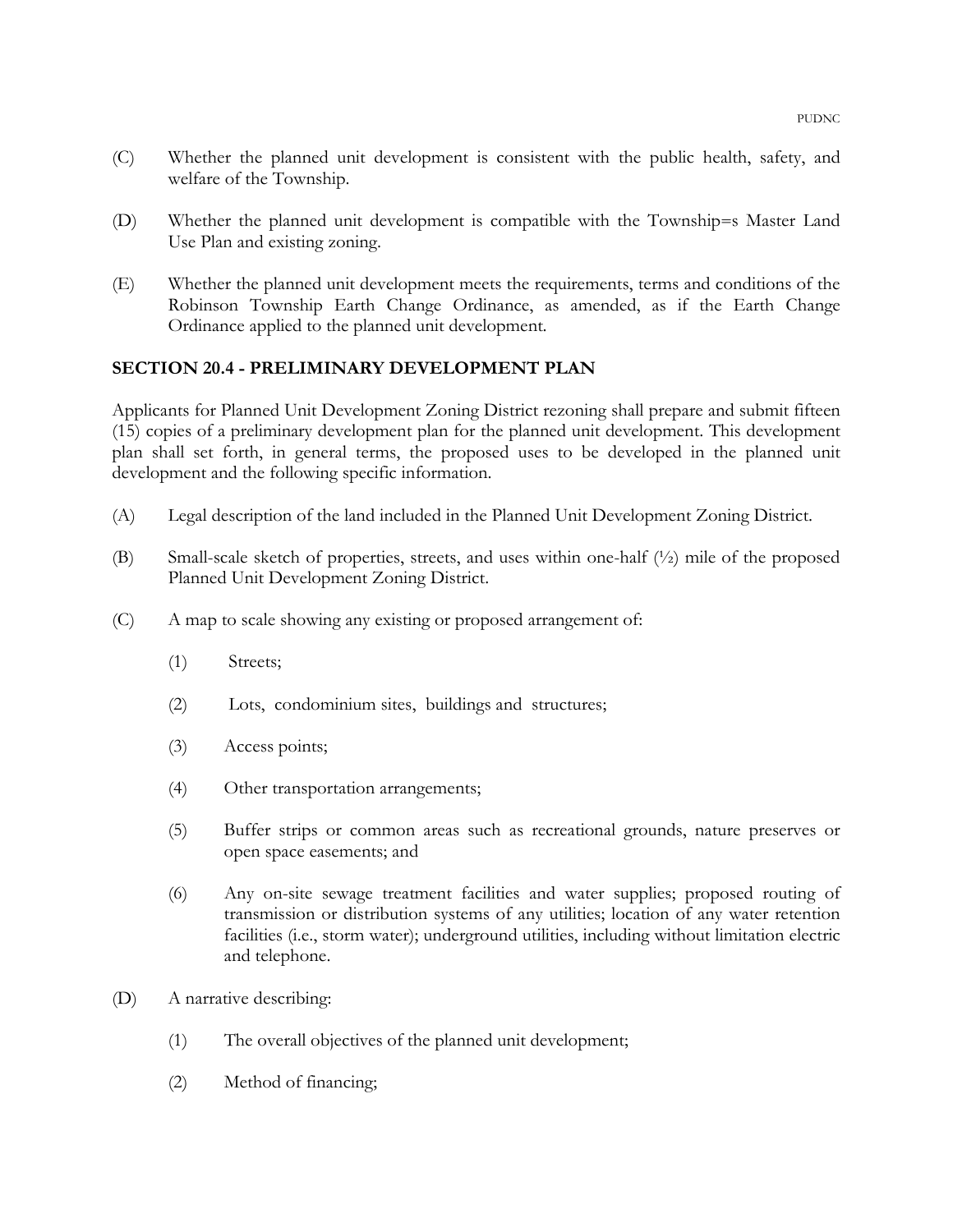- (C) Whether the planned unit development is consistent with the public health, safety, and welfare of the Township.
- (D) Whether the planned unit development is compatible with the Township=s Master Land Use Plan and existing zoning.
- (E) Whether the planned unit development meets the requirements, terms and conditions of the Robinson Township Earth Change Ordinance, as amended, as if the Earth Change Ordinance applied to the planned unit development.

## SECTION 20.4 - PRELIMINARY DEVELOPMENT PLAN

Applicants for Planned Unit Development Zoning District rezoning shall prepare and submit fifteen (15) copies of a preliminary development plan for the planned unit development. This development plan shall set forth, in general terms, the proposed uses to be developed in the planned unit development and the following specific information.

- (A) Legal description of the land included in the Planned Unit Development Zoning District.
- (B) Small-scale sketch of properties, streets, and uses within one-half (½) mile of the proposed Planned Unit Development Zoning District.
- (C) A map to scale showing any existing or proposed arrangement of:
	- (1) Streets;
	- (2) Lots, condominium sites, buildings and structures;
	- (3) Access points;
	- (4) Other transportation arrangements;
	- (5) Buffer strips or common areas such as recreational grounds, nature preserves or open space easements; and
	- (6) Any on-site sewage treatment facilities and water supplies; proposed routing of transmission or distribution systems of any utilities; location of any water retention facilities (i.e., storm water); underground utilities, including without limitation electric and telephone.
- (D) A narrative describing:
	- (1) The overall objectives of the planned unit development;
	- (2) Method of financing;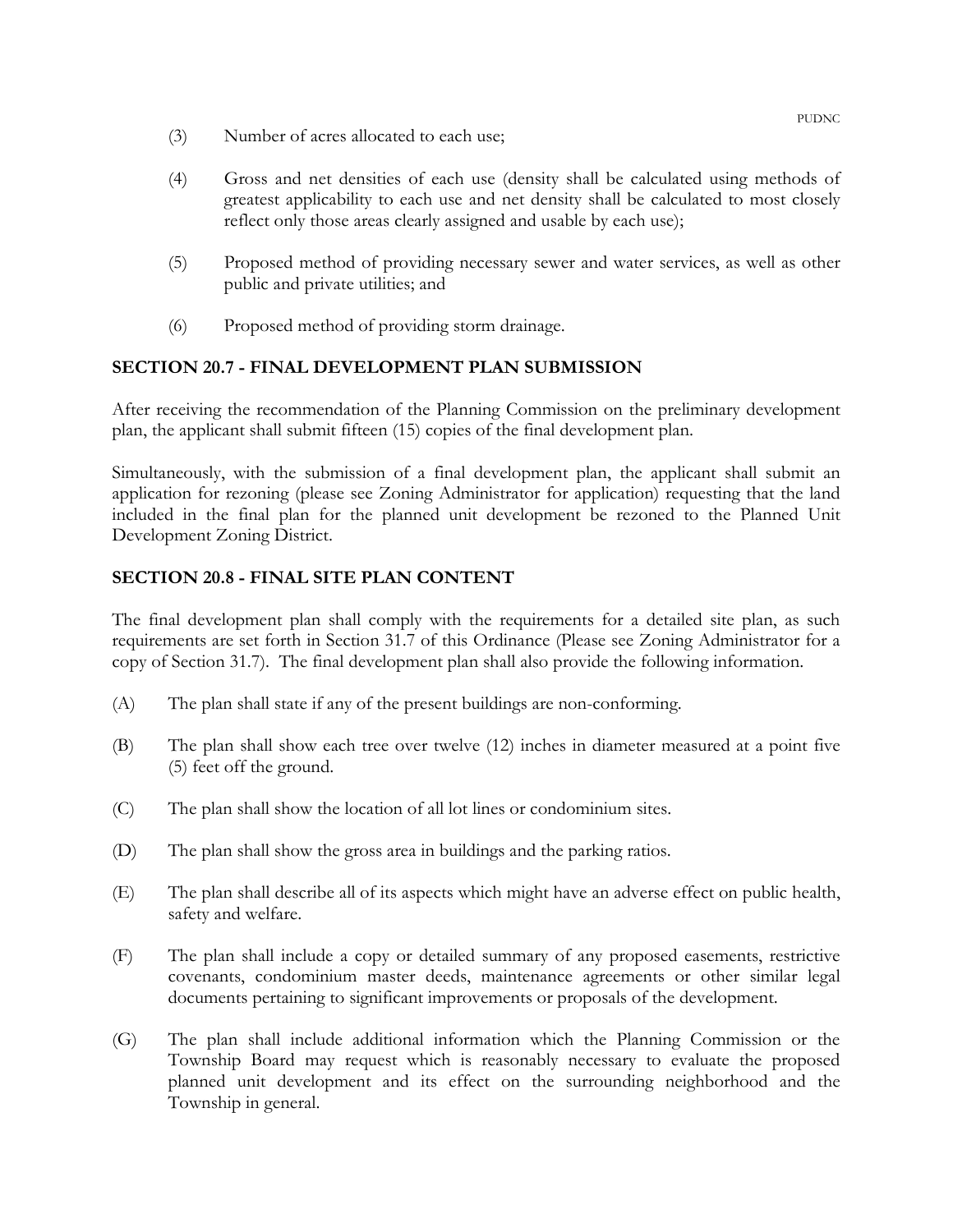- (3) Number of acres allocated to each use;
- (4) Gross and net densities of each use (density shall be calculated using methods of greatest applicability to each use and net density shall be calculated to most closely reflect only those areas clearly assigned and usable by each use);
- (5) Proposed method of providing necessary sewer and water services, as well as other public and private utilities; and
- (6) Proposed method of providing storm drainage.

## SECTION 20.7 - FINAL DEVELOPMENT PLAN SUBMISSION

After receiving the recommendation of the Planning Commission on the preliminary development plan, the applicant shall submit fifteen (15) copies of the final development plan.

Simultaneously, with the submission of a final development plan, the applicant shall submit an application for rezoning (please see Zoning Administrator for application) requesting that the land included in the final plan for the planned unit development be rezoned to the Planned Unit Development Zoning District.

## SECTION 20.8 - FINAL SITE PLAN CONTENT

The final development plan shall comply with the requirements for a detailed site plan, as such requirements are set forth in Section 31.7 of this Ordinance (Please see Zoning Administrator for a copy of Section 31.7). The final development plan shall also provide the following information.

- (A) The plan shall state if any of the present buildings are non-conforming.
- (B) The plan shall show each tree over twelve (12) inches in diameter measured at a point five (5) feet off the ground.
- (C) The plan shall show the location of all lot lines or condominium sites.
- (D) The plan shall show the gross area in buildings and the parking ratios.
- (E) The plan shall describe all of its aspects which might have an adverse effect on public health, safety and welfare.
- (F) The plan shall include a copy or detailed summary of any proposed easements, restrictive covenants, condominium master deeds, maintenance agreements or other similar legal documents pertaining to significant improvements or proposals of the development.
- (G) The plan shall include additional information which the Planning Commission or the Township Board may request which is reasonably necessary to evaluate the proposed planned unit development and its effect on the surrounding neighborhood and the Township in general.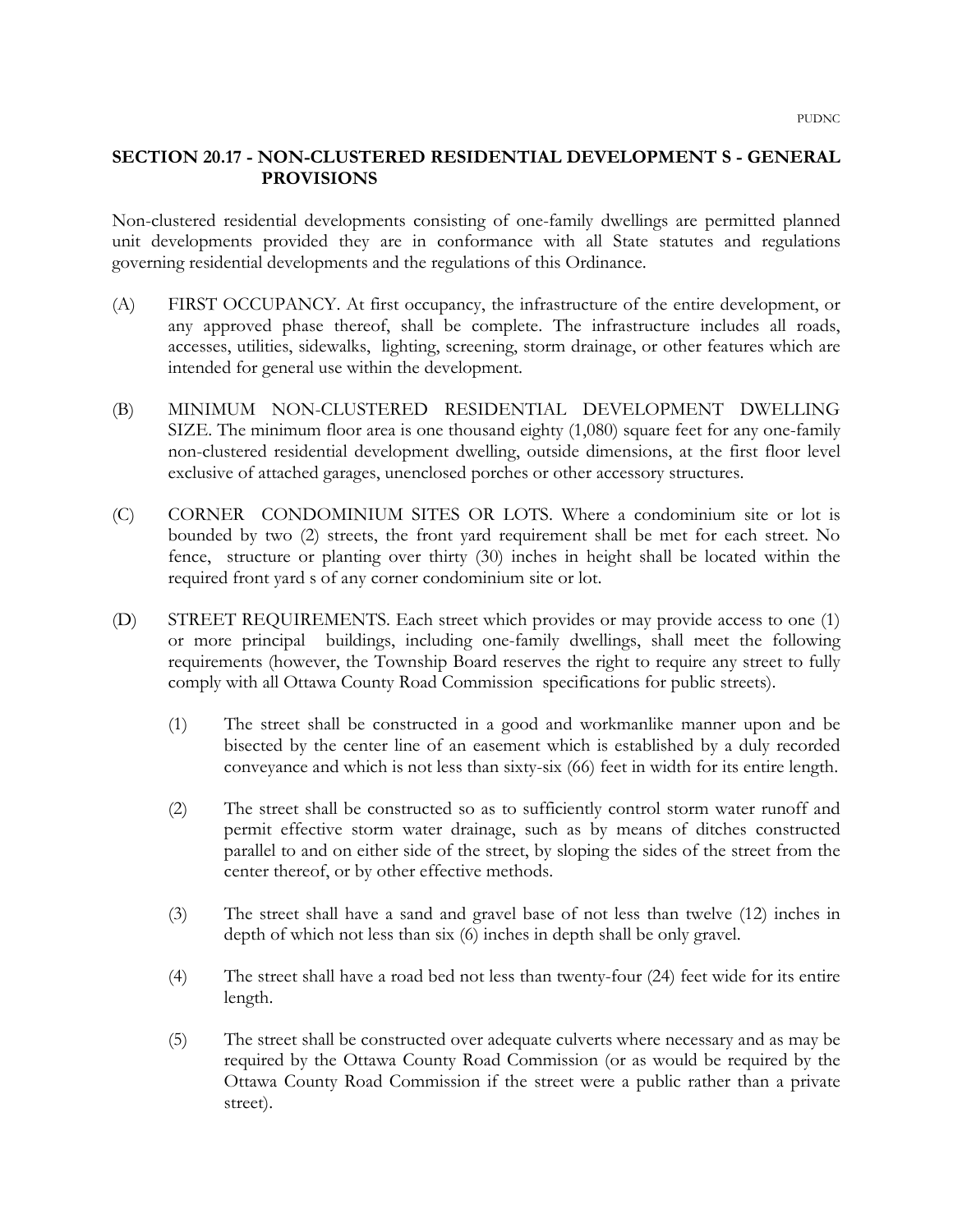#### SECTION 20.17 - NON-CLUSTERED RESIDENTIAL DEVELOPMENT S - GENERAL PROVISIONS

Non-clustered residential developments consisting of one-family dwellings are permitted planned unit developments provided they are in conformance with all State statutes and regulations governing residential developments and the regulations of this Ordinance.

- (A) FIRST OCCUPANCY. At first occupancy, the infrastructure of the entire development, or any approved phase thereof, shall be complete. The infrastructure includes all roads, accesses, utilities, sidewalks, lighting, screening, storm drainage, or other features which are intended for general use within the development.
- (B) MINIMUM NON-CLUSTERED RESIDENTIAL DEVELOPMENT DWELLING SIZE. The minimum floor area is one thousand eighty (1,080) square feet for any one-family non-clustered residential development dwelling, outside dimensions, at the first floor level exclusive of attached garages, unenclosed porches or other accessory structures.
- (C) CORNER CONDOMINIUM SITES OR LOTS. Where a condominium site or lot is bounded by two (2) streets, the front yard requirement shall be met for each street. No fence, structure or planting over thirty (30) inches in height shall be located within the required front yard s of any corner condominium site or lot.
- (D) STREET REQUIREMENTS. Each street which provides or may provide access to one (1) or more principal buildings, including one-family dwellings, shall meet the following requirements (however, the Township Board reserves the right to require any street to fully comply with all Ottawa County Road Commission specifications for public streets).
	- (1) The street shall be constructed in a good and workmanlike manner upon and be bisected by the center line of an easement which is established by a duly recorded conveyance and which is not less than sixty-six (66) feet in width for its entire length.
	- (2) The street shall be constructed so as to sufficiently control storm water runoff and permit effective storm water drainage, such as by means of ditches constructed parallel to and on either side of the street, by sloping the sides of the street from the center thereof, or by other effective methods.
	- (3) The street shall have a sand and gravel base of not less than twelve (12) inches in depth of which not less than six (6) inches in depth shall be only gravel.
	- (4) The street shall have a road bed not less than twenty-four (24) feet wide for its entire length.
	- (5) The street shall be constructed over adequate culverts where necessary and as may be required by the Ottawa County Road Commission (or as would be required by the Ottawa County Road Commission if the street were a public rather than a private street).